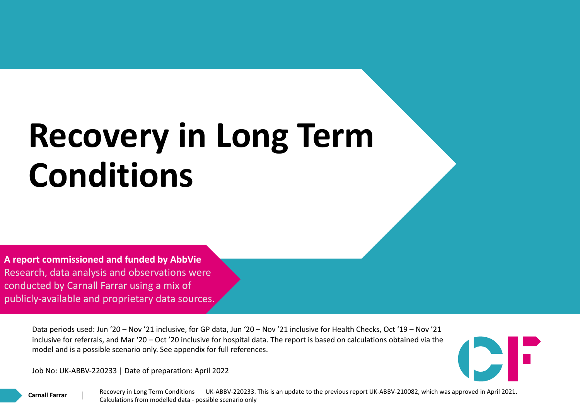## **Recovery in Long Term Conditions**

**A report commissioned and funded by AbbVie** Research, data analysis and observations were conducted by Carnall Farrar using a mix of publicly-available and proprietary data sources.

> Data periods used: Jun '20 – Nov '21 inclusive, for GP data, Jun '20 – Nov '21 inclusive for Health Checks, Oct '19 – Nov '21 inclusive for referrals, and Mar '20 – Oct '20 inclusive for hospital data. The report is based on calculations obtained via the model and is a possible scenario only. See appendix for full references.

Job No: UK-ABBV-220233 | Date of preparation: April 2022

**Carnall Farrar**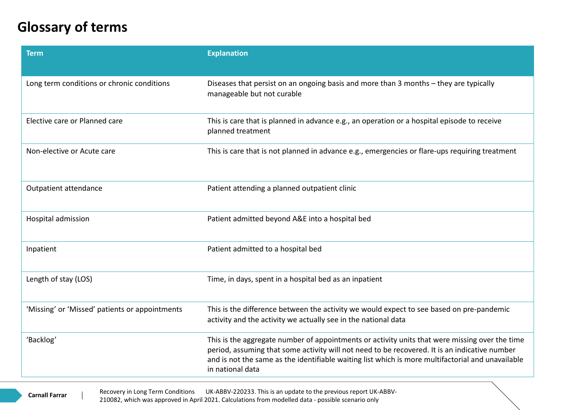## **Glossary of terms**

| <b>Term</b>                                    | <b>Explanation</b>                                                                                                                                                                                                                                                                                                       |
|------------------------------------------------|--------------------------------------------------------------------------------------------------------------------------------------------------------------------------------------------------------------------------------------------------------------------------------------------------------------------------|
| Long term conditions or chronic conditions     | Diseases that persist on an ongoing basis and more than 3 months - they are typically<br>manageable but not curable                                                                                                                                                                                                      |
| Elective care or Planned care                  | This is care that is planned in advance e.g., an operation or a hospital episode to receive<br>planned treatment                                                                                                                                                                                                         |
| Non-elective or Acute care                     | This is care that is not planned in advance e.g., emergencies or flare-ups requiring treatment                                                                                                                                                                                                                           |
| Outpatient attendance                          | Patient attending a planned outpatient clinic                                                                                                                                                                                                                                                                            |
| Hospital admission                             | Patient admitted beyond A&E into a hospital bed                                                                                                                                                                                                                                                                          |
| Inpatient                                      | Patient admitted to a hospital bed                                                                                                                                                                                                                                                                                       |
| Length of stay (LOS)                           | Time, in days, spent in a hospital bed as an inpatient                                                                                                                                                                                                                                                                   |
| 'Missing' or 'Missed' patients or appointments | This is the difference between the activity we would expect to see based on pre-pandemic<br>activity and the activity we actually see in the national data                                                                                                                                                               |
| 'Backlog'                                      | This is the aggregate number of appointments or activity units that were missing over the time<br>period, assuming that some activity will not need to be recovered. It is an indicative number<br>and is not the same as the identifiable waiting list which is more multifactorial and unavailable<br>in national data |
|                                                |                                                                                                                                                                                                                                                                                                                          |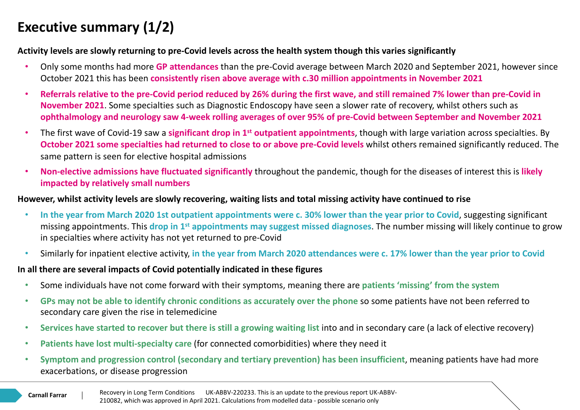## **Executive summary (1/2)**

#### **Activity levels are slowly returning to pre-Covid levels across the health system though this varies significantly**

- Only some months had more **GP attendances** than the pre-Covid average between March 2020 and September 2021, however since October 2021 this has been **consistently risen above average with c.30 million appointments in November 2021**
- **Referrals relative to the pre-Covid period reduced by 26% during the first wave, and still remained 7% lower than pre-Covid in November 2021**. Some specialties such as Diagnostic Endoscopy have seen a slower rate of recovery, whilst others such as **ophthalmology and neurology saw 4-week rolling averages of over 95% of pre-Covid between September and November 2021**
- The first wave of Covid-19 saw a **significant drop in 1st outpatient appointments**, though with large variation across specialties. By **October 2021 some specialties had returned to close to or above pre-Covid levels** whilst others remained significantly reduced. The same pattern is seen for elective hospital admissions
- **Non-elective admissions have fluctuated significantly** throughout the pandemic, though for the diseases of interest this is **likely impacted by relatively small numbers**

#### **However, whilst activity levels are slowly recovering, waiting lists and total missing activity have continued to rise**

- **In the year from March 2020 1st outpatient appointments were c. 30% lower than the year prior to Covid**, suggesting significant missing appointments. This **drop in 1st appointments may suggest missed diagnoses**. The number missing will likely continue to grow in specialties where activity has not yet returned to pre-Covid
- Similarly for inpatient elective activity, **in the year from March 2020 attendances were c. 17% lower than the year prior to Covid**

#### **In all there are several impacts of Covid potentially indicated in these figures**

- Some individuals have not come forward with their symptoms, meaning there are **patients 'missing' from the system**
- **GPs may not be able to identify chronic conditions as accurately over the phone** so some patients have not been referred to secondary care given the rise in telemedicine
- **Services have started to recover but there is still a growing waiting list** into and in secondary care (a lack of elective recovery)
- **Patients have lost multi-specialty care** (for connected comorbidities) where they need it
- **Symptom and progression control (secondary and tertiary prevention) has been insufficient**, meaning patients have had more exacerbations, or disease progression

**Carnall Farrar**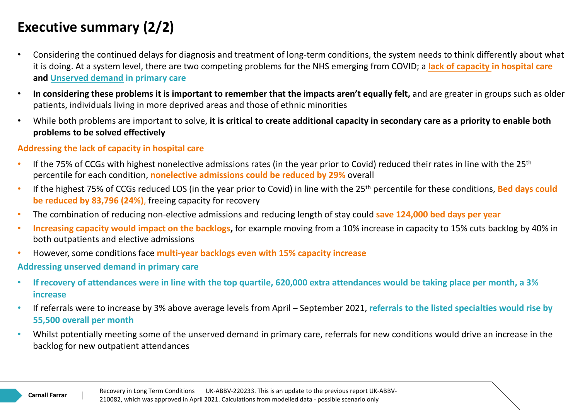## **Executive summary (2/2)**

- Considering the continued delays for diagnosis and treatment of long-term conditions, the system needs to think differently about what it is doing. At a system level, there are two competing problems for the NHS emerging from COVID; a **lack of capacity in hospital care and Unserved demand in primary care**
- **In considering these problems it is important to remember that the impacts aren't equally felt,** and are greater in groups such as older patients, individuals living in more deprived areas and those of ethnic minorities
- While both problems are important to solve, **it is critical to create additional capacity in secondary care as a priority to enable both problems to be solved effectively**

#### **Addressing the lack of capacity in hospital care**

- If the 75% of CCGs with highest nonelective admissions rates (in the year prior to Covid) reduced their rates in line with the 25<sup>th</sup> percentile for each condition, **nonelective admissions could be reduced by 29%** overall
- If the highest 75% of CCGs reduced LOS (in the year prior to Covid) in line with the 25th percentile for these conditions, **Bed days could be reduced by 83,796 (24%)**, freeing capacity for recovery
- The combination of reducing non-elective admissions and reducing length of stay could **save 124,000 bed days per year**
- **Increasing capacity would impact on the backlogs,** for example moving from a 10% increase in capacity to 15% cuts backlog by 40% in both outpatients and elective admissions
- However, some conditions face **multi-year backlogs even with 15% capacity increase**

#### **Addressing unserved demand in primary care**

- **If recovery of attendances were in line with the top quartile, 620,000 extra attendances would be taking place per month, a 3% increase**
- If referrals were to increase by 3% above average levels from April September 2021, **referrals to the listed specialties would rise by 55,500 overall per month**
- Whilst potentially meeting some of the unserved demand in primary care, referrals for new conditions would drive an increase in the backlog for new outpatient attendances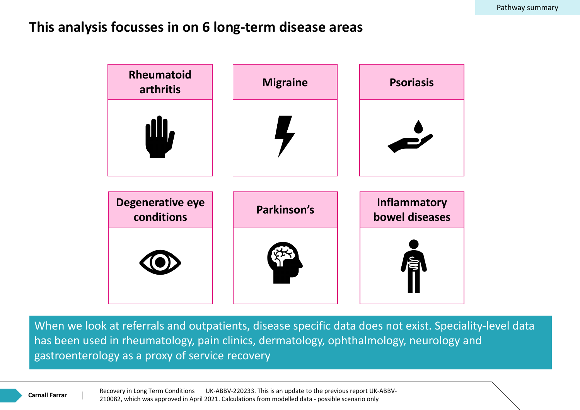### **This analysis focusses in on 6 long-term disease areas**



When we look at referrals and outpatients, disease specific data does not exist. Speciality-level data has been used in rheumatology, pain clinics, dermatology, ophthalmology, neurology and gastroenterology as a proxy of service recovery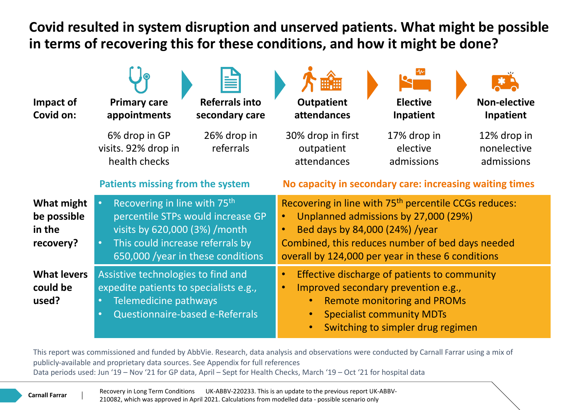**Covid resulted in system disruption and unserved patients. What might be possible in terms of recovering this for these conditions, and how it might be done?**

| Impact of<br>Covid on:                           | <b>Referrals into</b><br><b>Primary care</b><br>secondary care<br>appointments                                                                                                                                     | <b>Outpatient</b><br><b>Elective</b><br><b>Non-elective</b><br>attendances<br>Inpatient<br>Inpatient                                                                                                                                                 |  |  |  |  |
|--------------------------------------------------|--------------------------------------------------------------------------------------------------------------------------------------------------------------------------------------------------------------------|------------------------------------------------------------------------------------------------------------------------------------------------------------------------------------------------------------------------------------------------------|--|--|--|--|
|                                                  | 6% drop in GP<br>26% drop in<br>referrals<br>visits. 92% drop in<br>health checks                                                                                                                                  | 30% drop in first<br>17% drop in<br>12% drop in<br>elective<br>nonelective<br>outpatient<br>attendances<br>admissions<br>admissions                                                                                                                  |  |  |  |  |
|                                                  | <b>Patients missing from the system</b>                                                                                                                                                                            | No capacity in secondary care: increasing waiting times                                                                                                                                                                                              |  |  |  |  |
| What might<br>be possible<br>in the<br>recovery? | Recovering in line with 75 <sup>th</sup><br>$\bullet$<br>percentile STPs would increase GP<br>visits by 620,000 (3%) / month<br>This could increase referrals by<br>$\bullet$<br>650,000 /year in these conditions | Recovering in line with 75 <sup>th</sup> percentile CCGs reduces:<br>Unplanned admissions by 27,000 (29%)<br>Bed days by 84,000 (24%) /year<br>Combined, this reduces number of bed days needed<br>overall by 124,000 per year in these 6 conditions |  |  |  |  |
| <b>What levers</b><br>could be<br>used?          | Assistive technologies to find and<br>expedite patients to specialists e.g.,<br>Telemedicine pathways<br>$\bullet$<br>Questionnaire-based e-Referrals<br>$\bullet$                                                 | Effective discharge of patients to community<br>$\bullet$<br>Improved secondary prevention e.g.,<br><b>Remote monitoring and PROMs</b><br><b>Specialist community MDTs</b><br>Switching to simpler drug regimen                                      |  |  |  |  |

This report was commissioned and funded by AbbVie. Research, data analysis and observations were conducted by Carnall Farrar using a mix of publicly-available and proprietary data sources. See Appendix for full references Data periods used: Jun '19 – Nov '21 for GP data, April – Sept for Health Checks, March '19 – Oct '21 for hospital data

> Recovery in Long Term Conditions UK-ABBV-220233. This is an update to the previous report UK-ABBV-210082, which was approved in April 2021. Calculations from modelled data - possible scenario only

**Carnall Farrar**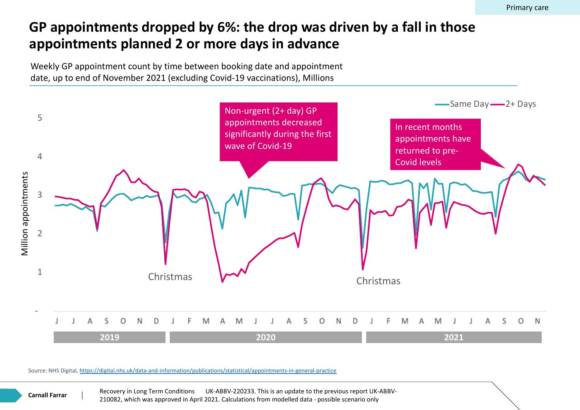## GP appointments dropped by 6%: the drop was driven by a fall **appointments planned 2 or more days in advance**

Weekly GP appointment count by time between booking date and appointment date, up to end of November 2021 (excluding Covid-19 vaccinations), Millions



Source: NHS Digital, https://digital.nhs.uk/data-and-information/publications/statistical/appointments-in-general-practice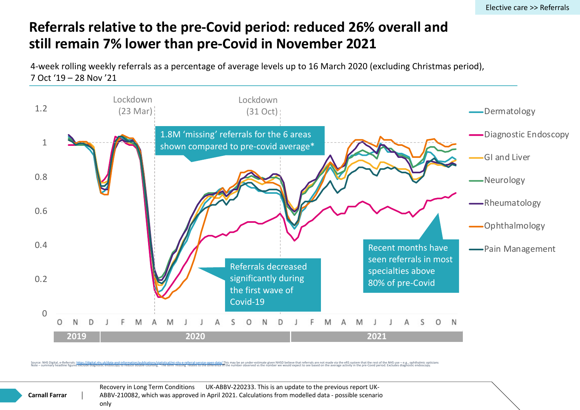## **Referrals relative to the pre-Covid period: reduced 26% overall still remain 7% lower than pre-Covid in November 2021**

4-week rolling weekly referrals as a percentage of average levels up to 16 March 2020 (excluding Ch 7 Oct '19 – 28 Nov '21



Source: NHS Digital, e-Referrals: <u>https://digital.ahs.uk/data-and-information/publication/splatstical/mi-ins-e-referral-service-open-data/This may be an under-estimate given NHSD believe that referral incompare incompare </u>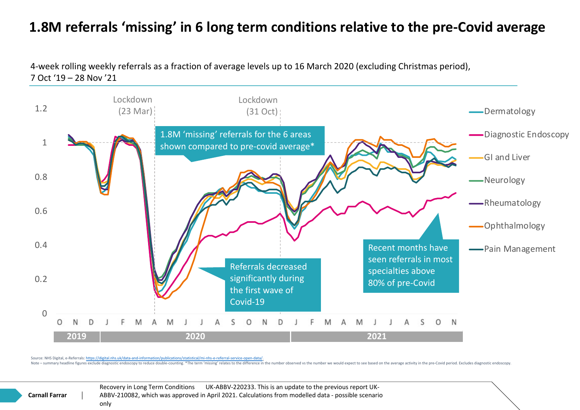## 1.8M referrals 'missing' in 6 long term conditions relative to th

4-week rolling weekly referrals as a fraction of average levels up to 16 March 2020 (excluding Christ 7 Oct '19 – 28 Nov '21



Source: NHS Digital, e-Referrals: https://digital.nh

Note – summary headline figures exclude diagnostic endoscopy to reduce double-counting, \*The term 'missing' relates to the difference in the number observed ys the number we would expect to see based on the average activit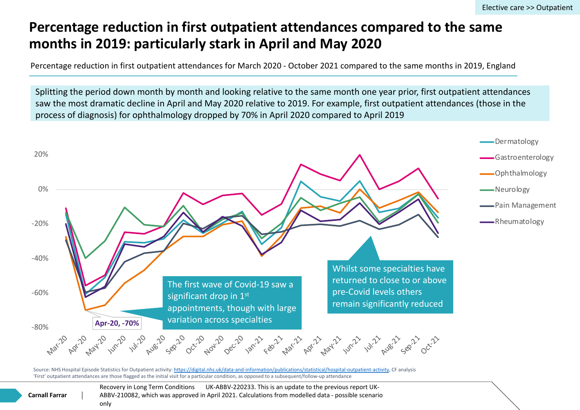## **Percentage reduction in first outpatient attendances compared months in 2019: particularly stark in April and May 2020**

Percentage reduction in first outpatient attendances for March 2020 - October 2021 compared to the same

Splitting the period down month by month and looking relative to the same month one year prior, saw the most dramatic decline in April and May 2020 relative to 2019. For example, first outpatient process of diagnosis) for ophthalmology dropped by 70% in April 2020 compared to April 2019



Source: NHS Hospital Episode Statistics for Outpatient activity: https://digital.nhs.uk/data-and-information/publications/statistical/hospital-outpatient-activity, CF analysis 'First' outpatient attendances are those flagged as the initial visit for a particular condition, as opposed to a subsequent/follow-up attendance

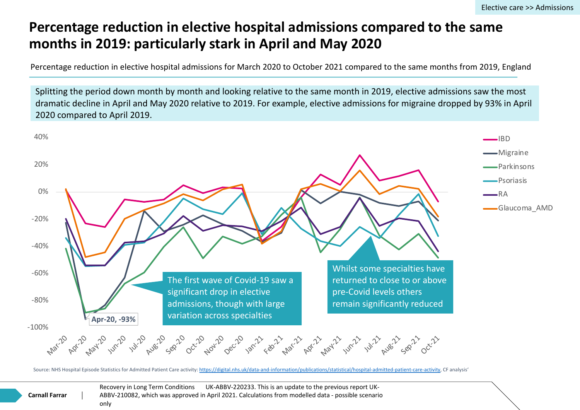## **Percentage reduction in elective hospital admissions compared months in 2019: particularly stark in April and May 2020**

Percentage reduction in elective hospital admissions for March 2020 to October 2021 compared to the sam



Source: NHS Hospital Episode Statistics for Admitted Patient Care activity: https://digital.nhs.uk/data-and-information/publications/statistical/hospital-admitted-patient-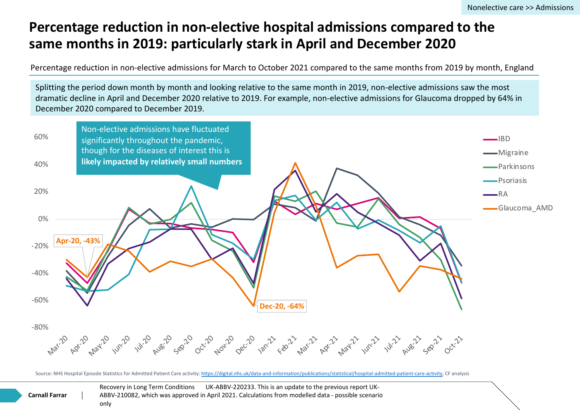## **Percentage reduction in non-elective hospital admissions compared to the** *Percentage* **reduction in non-elective hospital admissions compared**  $P$ same months in 2019: particularly stark in April and December

Percentage reduction in non-elective admissions for March to October 2021 compared to the same month,

Splitting the period down month by month and looking relative to the same month in 2019, non-elective a dramatic decline in April and December 2020 relative to 2019. For example, non-elective admissions for G December 2020 compared to December 2019.



Source: NHS Hospital Episode Statistics for Admitted Patient Care activity: https://digital.nhs.uk/data-and-information/publications/statistical/hospital-admitted-patient-ca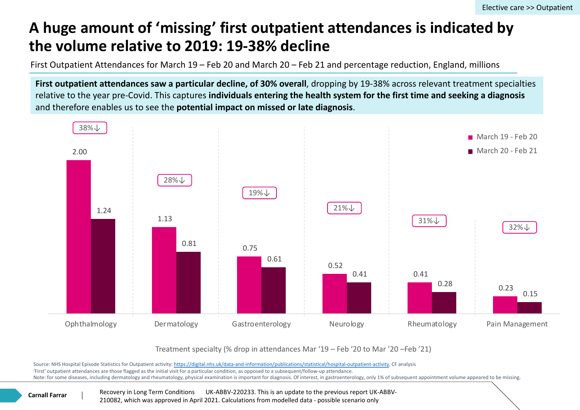## A huge amount of 'missing' first outpatient attendances in **the volume relative to 2019: 19-38% decline**

First Outpatient Attendances for March  $19$  – Feb 20 and March 20 – Feb 21 and percentage reduction,

First outpatient attendances saw a particular decline, of 30% overall, dropping by 19-38% across r relative to the year pre-Covid. This captures individuals entering the health system for the first tin and therefore enables us to see the **potential impact on missed or late diagnosis**.



Treatment specialty (% drop in attendances Mar '19 - Feb '20 to Mar '20 - Feb '.

Source: NHS Hospital Episode Statistics for Outpatient activity: https://digital.nhs.uk/data-and-information/publications/statistical/hospital-outpatient-activity, CF analysis 'First' outpatient attendances are those flagged as the initial visit for a particular condition, as opposed to a subsequent/follow-up attendance. Note: for some diseases, including dermatology and rheumatology, physical examination is important for diagnosis. Of interest, in gastroenterology, only 1% of subsequent a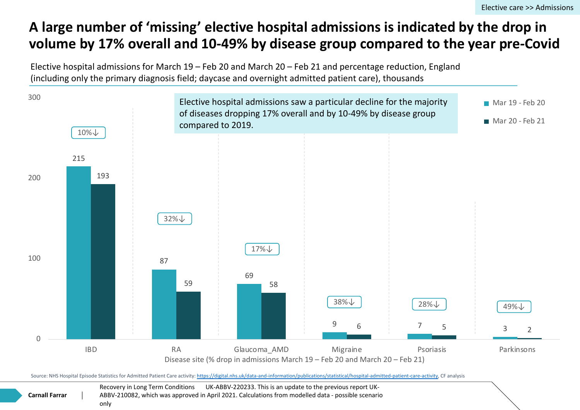## A large number of 'missing' elective hospital admissions is indi volume by 17% overall and 10-49% by disease group compared

Elective hospital admissions for March 19 – Feb 20 and March 20 – Feb 21 and percentage reduction (including only the primary diagnosis field; daycase and overnight admitted patient care), thousands



Source: NHS Hospital Episode Statistics for Admitted Patient Care activity: https://digital.nhs.uk/data-and-information/publications/statistical/hospital-admitted-patient-care-

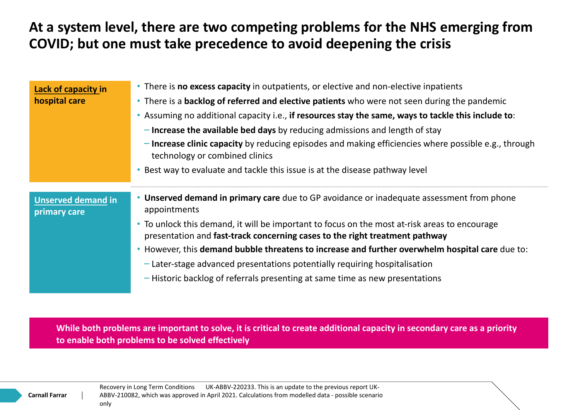## **At a system level, there are two competing problems for the NHS emerging from COVID; but one must take precedence to avoid deepening the crisis**

| Lack of capacity in<br>hospital care      | • There is <b>no excess capacity</b> in outpatients, or elective and non-elective inpatients<br>• There is a backlog of referred and elective patients who were not seen during the pandemic<br>• Assuming no additional capacity i.e., if resources stay the same, ways to tackle this include to:<br>$-$ Increase the available bed days by reducing admissions and length of stay<br>- Increase clinic capacity by reducing episodes and making efficiencies where possible e.g., through<br>technology or combined clinics<br>• Best way to evaluate and tackle this issue is at the disease pathway level |
|-------------------------------------------|----------------------------------------------------------------------------------------------------------------------------------------------------------------------------------------------------------------------------------------------------------------------------------------------------------------------------------------------------------------------------------------------------------------------------------------------------------------------------------------------------------------------------------------------------------------------------------------------------------------|
| <b>Unserved demand in</b><br>primary care | • Unserved demand in primary care due to GP avoidance or inadequate assessment from phone<br>appointments<br>• To unlock this demand, it will be important to focus on the most at-risk areas to encourage<br>presentation and fast-track concerning cases to the right treatment pathway<br>• However, this demand bubble threatens to increase and further overwhelm hospital care due to:<br>- Later-stage advanced presentations potentially requiring hospitalisation<br>- Historic backlog of referrals presenting at same time as new presentations                                                     |

**While both problems are important to solve, it is critical to create additional capacity in secondary care as a priority to enable both problems to be solved effectively**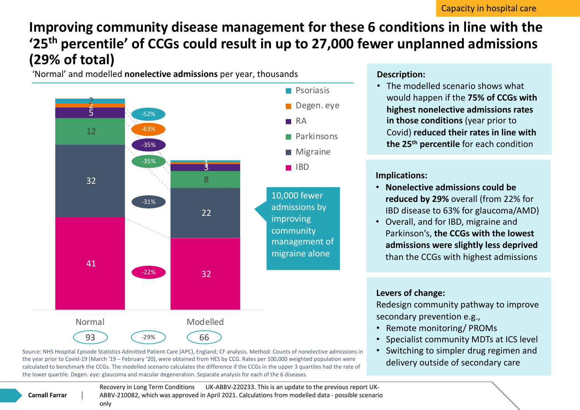## **Improving community disease management for these 6 conditions in line with the '25th percentile' of CCGs could result in up to 27,000 fewer unplanned admissions (29% of total)**

'Normal' and modelled **nonelective admissions** per year, thousands



#### **Description:**

• The modelled scenario shows what would happen if the **75% of CCGs with highest nonelective admissions rates in those conditions** (year prior to Covid) **reduced their rates in line with the 25th percentile** for each condition

#### **Implications:**

- **Nonelective admissions could be reduced by 29%** overall (from 22% for IBD disease to 63% for glaucoma/AMD)
- Overall, and for IBD, migraine and Parkinson's, **the CCGs with the lowest admissions were slightly less deprived**  than the CCGs with highest admissions

#### **Levers of change:**

Redesign community pathway to improve secondary prevention e.g.,

- Remote monitoring/ PROMs
- Specialist community MDTs at ICS level
- Switching to simpler drug regimen and delivery outside of secondary care

Source: NHS Hospital Episode Statistics Admitted Patient Care (APC), England; CF analysis. Method: Counts of nonelective admissions in the year prior to Covid-19 (March '19 – February '20), were obtained from HES by CCG. Rates per 100,000 weighted population were calculated to benchmark the CCGs. The modelled scenario calculates the difference if the CCGs in the upper 3 quartiles had the rate of the lower quartile. Degen. eye: glaucoma and macular degeneration. Separate analysis for each of the 6 diseases.

> Recovery in Long Term Conditions UK-ABBV-220233. This is an update to the previous report UK-ABBV-210082, which was approved in April 2021. Calculations from modelled data - possible scenario

#### **Carnall Farrar**

only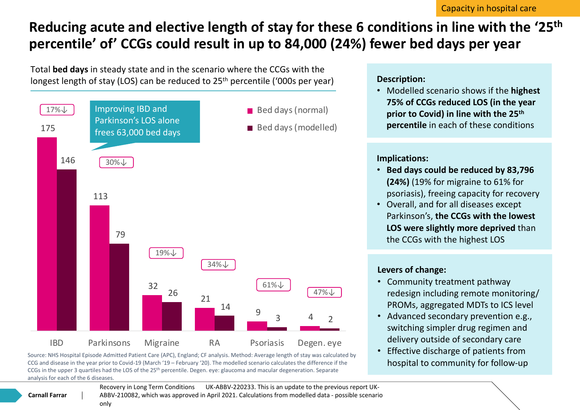## **Reducing acute and elective length of stay for these 6 conditions in line with the '25th percentile' of' CCGs could result in up to 84,000 (24%) fewer bed days per year**

Total **bed days** in steady state and in the scenario where the CCGs with the longest length of stay (LOS) can be reduced to 25<sup>th</sup> percentile ('000s per year)



Source: NHS Hospital Episode Admitted Patient Care (APC), England; CF analysis. Method: Average length of stay was calculated by CCG and disease in the year prior to Covid-19 (March '19 – February '20). The modelled scenario calculates the difference if the CCGs in the upper 3 quartiles had the LOS of the 25th percentile. Degen. eye: glaucoma and macular degeneration. Separate analysis for each of the 6 diseases.

> Recovery in Long Term Conditions UK-ABBV-220233. This is an update to the previous report UK-ABBV-210082, which was approved in April 2021. Calculations from modelled data - possible scenario

#### **Description:**

• Modelled scenario shows if the **highest 75% of CCGs reduced LOS (in the year prior to Covid) in line with the 25th percentile** in each of these conditions

#### **Implications:**

- **Bed days could be reduced by 83,796 (24%)** (19% for migraine to 61% for psoriasis), freeing capacity for recovery
- Overall, and for all diseases except Parkinson's, **the CCGs with the lowest LOS were slightly more deprived** than the CCGs with the highest LOS

#### **Levers of change:**

- Community treatment pathway redesign including remote monitoring/ PROMs, aggregated MDTs to ICS level
- Advanced secondary prevention e.g., switching simpler drug regimen and delivery outside of secondary care
- Effective discharge of patients from hospital to community for follow-up

**Carnall Farrar**

only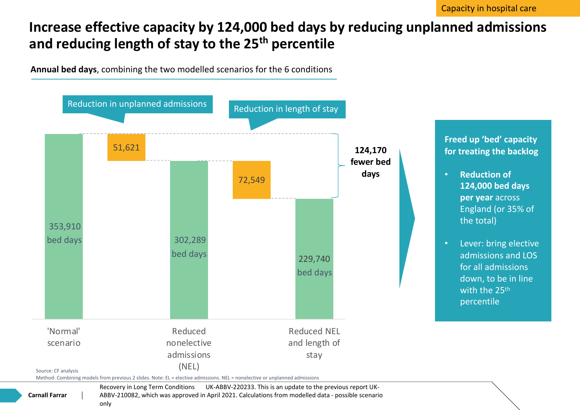## **Increase effective capacity by 124,000 bed days by reducing unplanned admissions and reducing length of stay to the 25th percentile**





Recovery in Long Term Conditions UK-ABBV-220233. This is an update to the previous report UK-ABBV-210082, which was approved in April 2021. Calculations from modelled data - possible scenario only

**Carnall Farrar**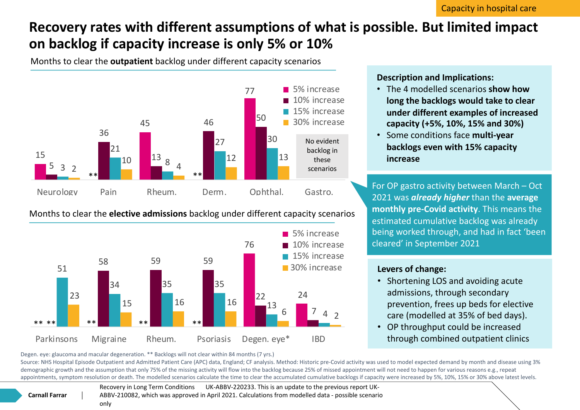## **Recovery rates with different assumptions of what is possible. But limited impact on backlog if capacity increase is only 5% or 10%**

Months to clear the **outpatient** backlog under different capacity scenarios



Months to clear the **elective admissions** backlog under different capacity scenarios



**Description and Implications:**

- The 4 modelled scenarios **show how long the backlogs would take to clear under different examples of increased capacity (+5%, 10%, 15% and 30%)**
- Some conditions face **multi-year backlogs even with 15% capacity increase**

For OP gastro activity between March – Oct 2021 was *already higher* than the **average monthly pre-Covid activity**. This means the estimated cumulative backlog was already being worked through, and had in fact 'been cleared' in September 2021

#### **Levers of change:**

- Shortening LOS and avoiding acute admissions, through secondary prevention, frees up beds for elective care (modelled at 35% of bed days).
- OP throughput could be increased through combined outpatient clinics

Degen. eye: glaucoma and macular degeneration. \*\* Backlogs will not clear within 84 months (7 yrs.)

Source: NHS Hospital Episode Outpatient and Admitted Patient Care (APC) data, England; CF analysis. Method: Historic pre-Covid activity was used to model expected demand by month and disease using 3% demographic growth and the assumption that only 75% of the missing activity will flow into the backlog because 25% of missed appointment will not need to happen for various reasons e.g., repeat appointments, symptom resolution or death. The modelled scenarios calculate the time to clear the accumulated cumulative backlogs if capacity were increased by 5%, 10%, 15% or 30% above latest levels.

> Recovery in Long Term Conditions UK-ABBV-220233. This is an update to the previous report UK-ABBV-210082, which was approved in April 2021. Calculations from modelled data - possible scenario only

**Carnall Farrar**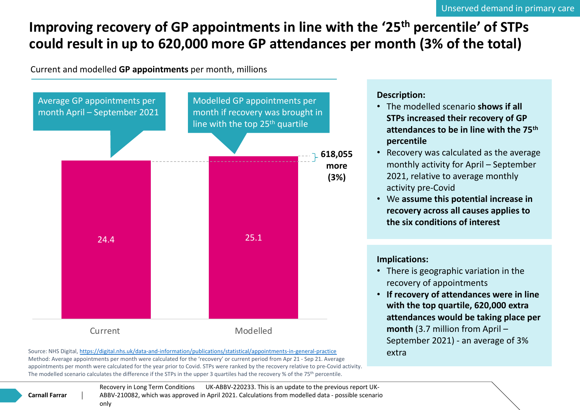## **Improving recovery of GP appointments in line with the '25<sup>th</sup> p** could result in up to 620,000 more GP attendances per month

Current and modelled **GP appointments** per month, millions



**Carnall Farrar**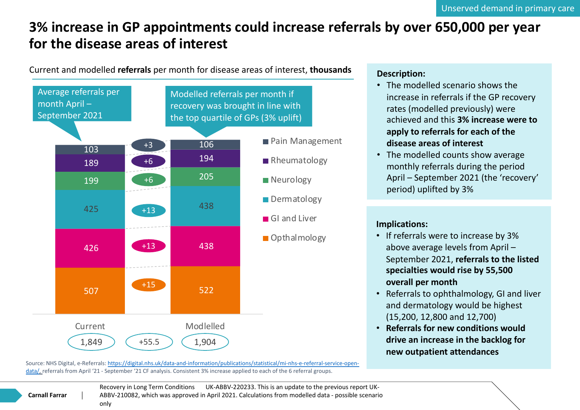## **3% increase in GP appointments could increase referrals by over for the disease areas of interest**

Current and modelled **referrals** per month for disease areas of interest, **thousands**



Source: NHS Digital, e-Referrals: https://digital.nhs.uk/data-and-information/publications/statistical/mi-nhs-e-referral-service-opendata/, referrals from April '21 - September '21 CF analysis. Consistent 3% increase applied to each of the 6 referral groups.

#### **Carnall Farrar**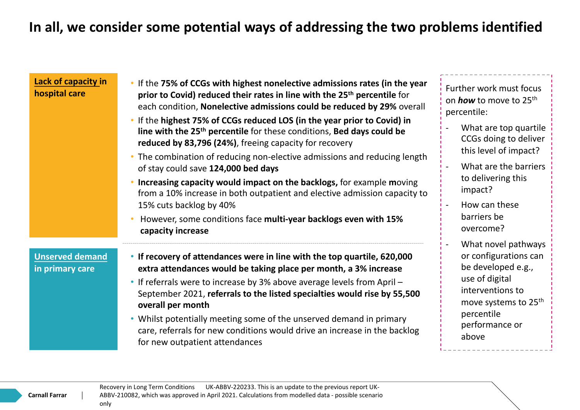## **In all, we consider some potential ways of addressing the two problems identified**

| Lack of capacity in<br>hospital care      | • If the 75% of CCGs with highest nonelective admissions rates (in the year<br>prior to Covid) reduced their rates in line with the 25 <sup>th</sup> percentile for<br>each condition, Nonelective admissions could be reduced by 29% overall<br>. If the highest 75% of CCGs reduced LOS (in the year prior to Covid) in<br>line with the 25 <sup>th</sup> percentile for these conditions, Bed days could be<br>reduced by 83,796 (24%), freeing capacity for recovery<br>• The combination of reducing non-elective admissions and reducing length<br>of stay could save 124,000 bed days<br>• Increasing capacity would impact on the backlogs, for example moving<br>from a 10% increase in both outpatient and elective admission capacity to<br>15% cuts backlog by 40%<br>However, some conditions face multi-year backlogs even with 15% | Further work must focus<br>on <b>how</b> to move to 25 <sup>th</sup><br>percentile:<br>What are top quartile<br>CCGs doing to deliver<br>this level of impact?<br>What are the barriers<br>to delivering this<br>impact?<br>How can these<br>barriers be<br>overcome? |  |
|-------------------------------------------|---------------------------------------------------------------------------------------------------------------------------------------------------------------------------------------------------------------------------------------------------------------------------------------------------------------------------------------------------------------------------------------------------------------------------------------------------------------------------------------------------------------------------------------------------------------------------------------------------------------------------------------------------------------------------------------------------------------------------------------------------------------------------------------------------------------------------------------------------|-----------------------------------------------------------------------------------------------------------------------------------------------------------------------------------------------------------------------------------------------------------------------|--|
| <b>Unserved demand</b><br>in primary care | capacity increase<br>• If recovery of attendances were in line with the top quartile, 620,000<br>extra attendances would be taking place per month, a 3% increase<br>• If referrals were to increase by 3% above average levels from April -<br>September 2021, referrals to the listed specialties would rise by 55,500<br>overall per month<br>• Whilst potentially meeting some of the unserved demand in primary<br>care, referrals for new conditions would drive an increase in the backlog<br>for new outpatient attendances                                                                                                                                                                                                                                                                                                               | What novel pathways<br>or configurations can<br>be developed e.g.,<br>use of digital<br>interventions to<br>move systems to 25 <sup>th</sup><br>percentile<br>performance or<br>above                                                                                 |  |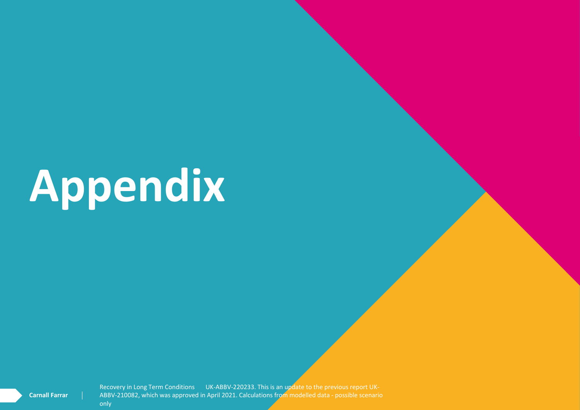# **Appendix**

Recovery in Long Term Conditions UK-ABBV-220233. This is an update to the previous report UK-ABBV-210082, which was approved in April 2021. Calculations from modelled data - possible scenario

**Carnall Farrar**

only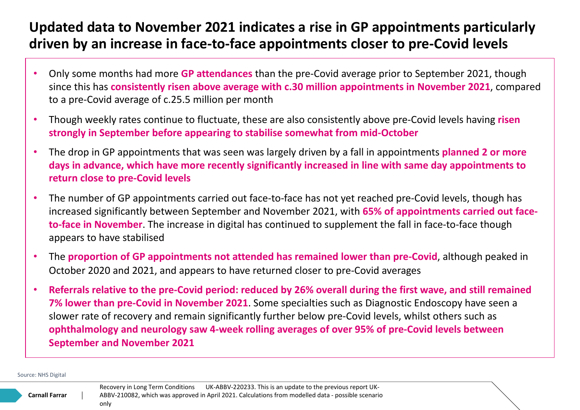## **Updated data to November 2021 indicates a rise in GP appointments particularly driven by an increase in face-to-face appointments closer to pre-Covid levels**

- Only some months had more **GP attendances** than the pre-Covid average prior to September 2021, though since this has **consistently risen above average with c.30 million appointments in November 2021**, compared to a pre-Covid average of c.25.5 million per month
- Though weekly rates continue to fluctuate, these are also consistently above pre-Covid levels having **risen strongly in September before appearing to stabilise somewhat from mid-October**
- The drop in GP appointments that was seen was largely driven by a fall in appointments **planned 2 or more days in advance, which have more recently significantly increased in line with same day appointments to return close to pre-Covid levels**
- The number of GP appointments carried out face-to-face has not yet reached pre-Covid levels, though has increased significantly between September and November 2021, with **65% of appointments carried out faceto-face in November**. The increase in digital has continued to supplement the fall in face-to-face though appears to have stabilised
- The **proportion of GP appointments not attended has remained lower than pre-Covid**, although peaked in October 2020 and 2021, and appears to have returned closer to pre-Covid averages
- **Referrals relative to the pre-Covid period: reduced by 26% overall during the first wave, and still remained 7% lower than pre-Covid in November 2021**. Some specialties such as Diagnostic Endoscopy have seen a slower rate of recovery and remain significantly further below pre-Covid levels, whilst others such as **ophthalmology and neurology saw 4-week rolling averages of over 95% of pre-Covid levels between September and November 2021**

Source: NHS Digital

**Carnall Farrar**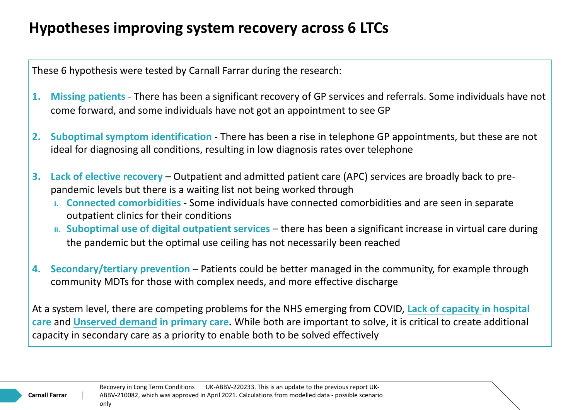## **Hypotheses improving system recovery across 6 LTCs**

These 6 hypothesis were tested by Carnall Farrar during the research:

- **1. Missing patients**  There has been a significant recovery of GP services and referrals. Some individuals have not come forward, and some individuals have not got an appointment to see GP
- **2. Suboptimal symptom identification**  There has been a rise in telephone GP appointments, but these are not ideal for diagnosing all conditions, resulting in low diagnosis rates over telephone
- **3. Lack of elective recovery**  Outpatient and admitted patient care (APC) services are broadly back to prepandemic levels but there is a waiting list not being worked through
	- **i. Connected comorbidities**  Some individuals have connected comorbidities and are seen in separate outpatient clinics for their conditions
	- **ii. Suboptimal use of digital outpatient services**  there has been a significant increase in virtual care during the pandemic but the optimal use ceiling has not necessarily been reached
- **4.** Secondary/tertiary prevention Patients could be better managed in the community, for example through community MDTs for those with complex needs, and more effective discharge

At a system level, there are competing problems for the NHS emerging from COVID, **Lack of capacity in hospital care** and **Unserved demand in primary care.** While both are important to solve, it is critical to create additional capacity in secondary care as a priority to enable both to be solved effectively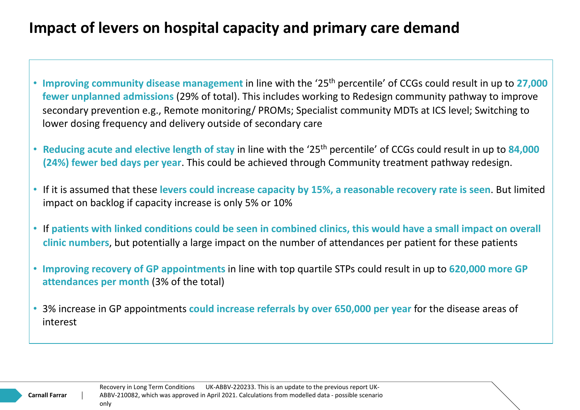## **Impact of levers on hospital capacity and primary care demand**

- **Improving community disease management** in line with the '25th percentile' of CCGs could result in up to **27,000 fewer unplanned admissions** (29% of total). This includes working to Redesign community pathway to improve secondary prevention e.g., Remote monitoring/ PROMs; Specialist community MDTs at ICS level; Switching to lower dosing frequency and delivery outside of secondary care
- **Reducing acute and elective length of stay** in line with the '25th percentile' of CCGs could result in up to **84,000 (24%) fewer bed days per year**. This could be achieved through Community treatment pathway redesign.
- If it is assumed that these **levers could increase capacity by 15%, a reasonable recovery rate is seen**. But limited impact on backlog if capacity increase is only 5% or 10%
- If **patients with linked conditions could be seen in combined clinics, this would have a small impact on overall clinic numbers**, but potentially a large impact on the number of attendances per patient for these patients
- **Improving recovery of GP appointments** in line with top quartile STPs could result in up to **620,000 more GP attendances per month** (3% of the total)
- 3% increase in GP appointments **could increase referrals by over 650,000 per year** for the disease areas of interest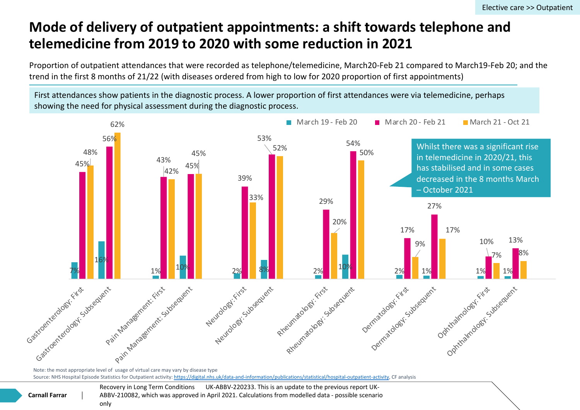## **Mode of delivery of outpatient appointments: a shift towards to telemedicine from 2019 to 2020 with some reduction in 2021**

Proportion of outpatient attendances that were recorded as telephone/telemedicine, March20-Feb 21 com trend in the first 8 months of 21/22 (with diseases ordered from high to low for 2020 proportion of first appoint

First attendances show patients in the diagnostic process. A lower proportion of first attendances were via showing the need for physical assessment during the diagnostic process.



Note: the most appropriate level of usage of virtual care may vary by disease type Source: NHS Hospital Episode Statistics for Outpatient activity: https://digital.nhs.uk/data-and-information/publications/statistical/hospital-outpatient-activity, CF analysis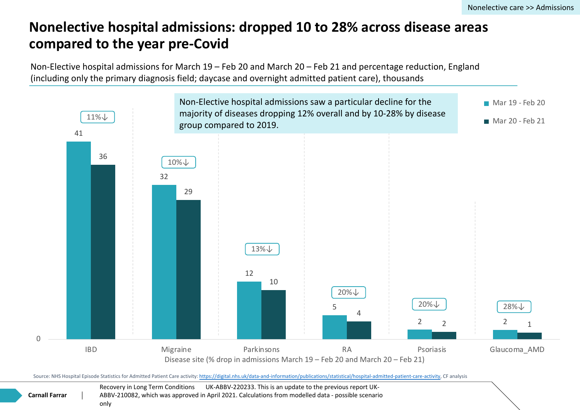## **Nonelective hospital admissions: dropped 10 to 28% across distingly compared to the year pre-Covid**

Non-Elective hospital admissions for March 19 – Feb 20 and March 20 – Feb 21 and percentage redu (including only the primary diagnosis field; daycase and overnight admitted patient care), thousands



Source: NHS Hospital Episode Statistics for Admitted Patient Care activity: https://digital.nhs.uk/data-and-information/publications/statistical/hospital-admitted-patient-care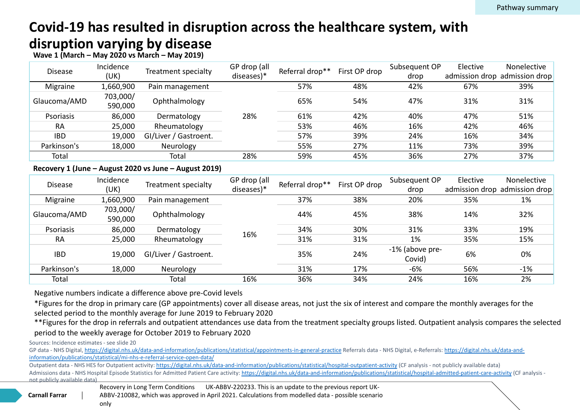## **Covid-19 has resulted in disruption across the healthcare syste disruption varying by disease**

#### **Wave 1 (March – May 2020 vs March – May 2019)**

| <b>Disease</b> | Incidence<br>(UK)   | Treatment specialty   | GP drop (all<br>diseases)* | Referral drop** | First OP drop | Subseque<br>drop |
|----------------|---------------------|-----------------------|----------------------------|-----------------|---------------|------------------|
| Migraine       | 1,660,900           | Pain management       | 28%                        | 57%             | 48%           | 42%              |
| Glaucoma/AMD   | 703,000/<br>590,000 | Ophthalmology         |                            | 65%             | 54%           | 47%              |
| Psoriasis      | 86,000              | Dermatology           |                            | 61%             | 42%           | 40%              |
| <b>RA</b>      | 25,000              | Rheumatology          |                            | 53%             | 46%           | 16%              |
| <b>IBD</b>     | 19,000              | GI/Liver / Gastroent. |                            | 57%             | 39%           | 24%              |
| Parkinson's    | 18,000              | Neurology             |                            | 55%             | 27%           | 11%              |
| Total          |                     | Total                 | 28%                        | 59%             | 45%           | 36%              |

#### **Recovery 1 (June – August 2020 vs June – August 2019)**

| <b>Disease</b> | Incidence<br>(UK)   | Treatment specialty   | GP drop (all<br>diseases)* | Referral drop** | First OP drop | Subseque<br>dron      |
|----------------|---------------------|-----------------------|----------------------------|-----------------|---------------|-----------------------|
| Migraine       | 1,660,900           | Pain management       | 16%                        | 37%             | 38%           | 20%                   |
| Glaucoma/AMD   | 703,000/<br>590,000 | Ophthalmology         |                            | 44%             | 45%           | 38%                   |
| Psoriasis      | 86,000              | Dermatology           |                            | 34%             | 30%           | 31%                   |
| <b>RA</b>      | 25,000              | Rheumatology          |                            | 31%             | 31%           | $1\%$                 |
| <b>IBD</b>     | 19,000              | GI/Liver / Gastroent. |                            | 35%             | 24%           | $-1\%$ (abov<br>Covid |
| Parkinson's    | 18,000              | Neurology             |                            | 31%             | 17%           | $-6%$                 |
| Total          |                     | Total                 | 16%                        | 36%             | 34%           | 24%                   |
|                |                     |                       |                            |                 |               |                       |

Negative numbers indicate a difference above pre-Covid levels

\*Figures for the drop in primary care (GP appointments) cover all disease areas, not just the six of interest and comp selected period to the monthly average for June 2019 to February 2020

\*\*Figures for the drop in referrals and outpatient attendances use data from the treatment specialty groups listed. C period to the weekly average for October 2019 to February 2020

Sources: Incidence estimates - see slide 20

Outpatient data - NHS HES for Outpatient activity: https://digital.nhs.uk/data-and-information/publications/statistical/hospital-outpatient-activity (CF analy Admissions data - NHS Hospital Episode Statistics for Admitted Patient Care activity: https://digital.nhs.uk/data-and-information/publications/statistical/hos not publicly available data)



GP data - NHS Digital, https://digital.nhs.uk/data-and-information/publications/statistical/appointments-in-general-practice Referrals data - NHS Digital, e-F information/publications/statistical/mi-nhs-e-referral-service-open-data/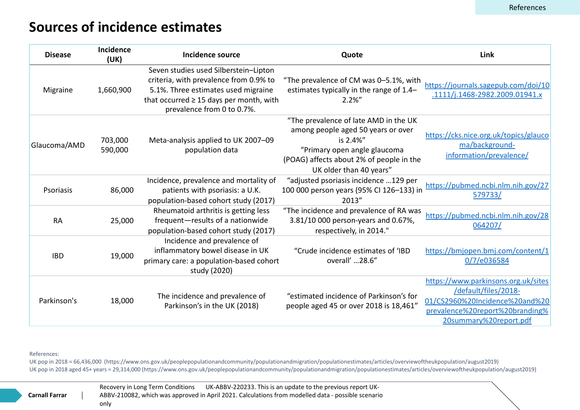## **Sources of incidence estimates**

| <b>Disease</b> | Incidence<br>(UK)  | Incidence source                                                                                                                                                                                     | Quote                                                                                                                                                                                          |  |
|----------------|--------------------|------------------------------------------------------------------------------------------------------------------------------------------------------------------------------------------------------|------------------------------------------------------------------------------------------------------------------------------------------------------------------------------------------------|--|
| Migraine       | 1,660,900          | Seven studies used Silberstein-Lipton<br>criteria, with prevalence from 0.9% to<br>5.1%. Three estimates used migraine<br>that occurred $\geq$ 15 days per month, with<br>prevalence from 0 to 0.7%. | "The prevalence of CM was 0-5.1%, with<br>estimates typically in the range of 1.4-<br>$2.2\%$ "                                                                                                |  |
| Glaucoma/AMD   | 703,000<br>590,000 | Meta-analysis applied to UK 2007-09<br>population data                                                                                                                                               | "The prevalence of late AMD in the UK<br>among people aged 50 years or over<br>is 2.4%"<br>"Primary open angle glaucoma<br>(POAG) affects about 2% of people in the<br>UK older than 40 years" |  |
| Psoriasis      | 86,000             | Incidence, prevalence and mortality of<br>patients with psoriasis: a U.K.<br>population-based cohort study (2017)                                                                                    | "adjusted psoriasis incidence 129 per<br>100 000 person years (95% Cl 126-133) in<br>2013"                                                                                                     |  |
| <b>RA</b>      | 25,000             | Rheumatoid arthritis is getting less<br>frequent-results of a nationwide<br>population-based cohort study (2017)                                                                                     | "The incidence and prevalence of RA was<br>3.81/10 000 person-years and 0.67%,<br>respectively, in 2014."                                                                                      |  |
| <b>IBD</b>     | 19,000             | Incidence and prevalence of<br>inflammatory bowel disease in UK<br>primary care: a population-based cohort<br>study (2020)                                                                           | "Crude incidence estimates of 'IBD<br>overall' 28.6"                                                                                                                                           |  |
| Parkinson's    | 18,000             | The incidence and prevalence of<br>Parkinson's in the UK (2018)                                                                                                                                      | "estimated incidence of Parkinson's for<br>people aged 45 or over 2018 is 18,461"                                                                                                              |  |

References:

UK pop in 2018 = 66,436,000 (https://www.ons.gov.uk/peoplepopulationandcommunity/populationandmigration/populationestimates/articles/overviewo UK pop in 2018 aged 45+ years = 29,314,000 (https://www.ons.gov.uk/peoplepopulationandcommunity/populationandmigration/populationestimates/articles/over

**Carnall Farrar**

 $\overline{\phantom{a}}$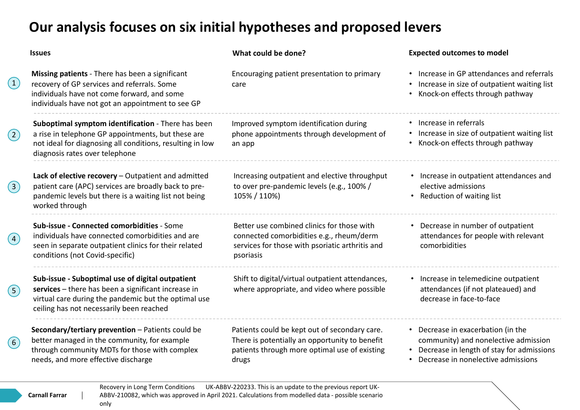## **Our analysis focuses on six initial hypotheses and proposed levers**

| <b>Issues</b>                                                                                                                                                                                               | Wh                       |
|-------------------------------------------------------------------------------------------------------------------------------------------------------------------------------------------------------------|--------------------------|
| <b>Missing patients</b> - There has been a significant<br>recovery of GP services and referrals. Some<br>individuals have not come forward, and some<br>individuals have not got an appointment to see GP   | Enc<br>care              |
| Suboptimal symptom identification - There has been<br>a rise in telephone GP appointments, but these are<br>not ideal for diagnosing all conditions, resulting in low<br>diagnosis rates over telephone     | Imp<br>pho<br>an a       |
| Lack of elective recovery $-$ Outpatient and admitted<br>patient care (APC) services are broadly back to pre-<br>pandemic levels but there is a waiting list not being<br>worked through                    | Inc<br>to d<br>105       |
| Sub-issue - Connected comorbidities - Some<br>individuals have connected comorbidities and are<br>seen in separate outpatient clinics for their related<br>conditions (not Covid-specific)                  | Bet<br>cor<br>ser<br>psc |
| Sub-issue - Suboptimal use of digital outpatient<br>services - there has been a significant increase in<br>virtual care during the pandemic but the optimal use<br>ceiling has not necessarily been reached | Shi<br>wh                |
| Secondary/tertiary prevention - Patients could be<br>better managed in the community, for example                                                                                                           | Pati<br>The              |

through community MDTs for those with complex

needs, and more effective discharge

couraging patient presentation to primary care

Inproved symptom identification during one appointments through development of app

Increasing outpatient and elective throughput over pre-pandemic levels (e.g., 100% / 105% / 110%)

tter use combined clinics for those with connected comorbidities e.g., rheum/derm vices for those with psoriatic arthritis and priasis

ift to digital/virtual outpatient attendances, ere appropriate, and video where possible

ients could be kept out of secondary care. ere is potentially an opportunity to benefit patients through more optimal use of existing drugs

#### **Issues What could be done? Expected outcomes to model**

- Increase in GP attendances and referrals
- Increase in size of outpatient waiting list
- Knock-on effects through pathway
- Increase in referrals
- Increase in size of outpatient waiting list
- Knock-on effects through pathway
- Increase in outpatient attendances and elective admissions
- Reduction of waiting list
- Decrease in number of outpatient attendances for people with relevant comorbidities
- Increase in telemedicine outpatient attendances (if not plateaued) and decrease in face-to-face
- Decrease in exacerbation (in the community) and nonelective admission
- Decrease in length of stay for admissions
- Decrease in nonelective admissions

**Carnall Farrar**

1

 $\left( 2\right)$ 

 $(3)$ 

4

 $(5)$ 

 $(6)$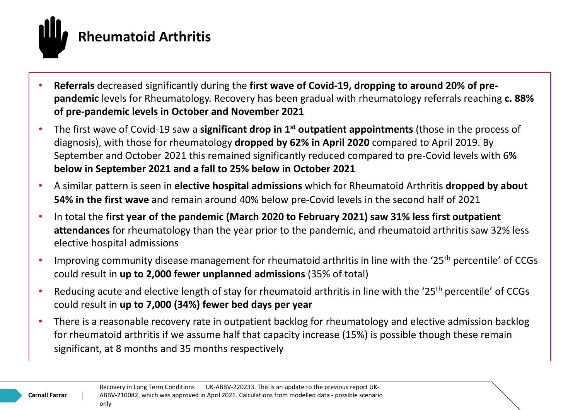

- **Referrals** decreased significantly during the **first wave of Covid-19, dropping to around 20% of prepandemic** levels for Rheumatology. Recovery has been gradual with rheumatology referrals reaching **c. 88% of pre-pandemic levels in October and November 2021**
- The first wave of Covid-19 saw a **significant drop in 1st outpatient appointments** (those in the process of diagnosis), with those for rheumatology **dropped by 62% in April 2020** compared to April 2019. By September and October 2021 this remained significantly reduced compared to pre-Covid levels with 6**% below in September 2021 and a fall to 25% below in October 2021**
- A similar pattern is seen in **elective hospital admissions** which for Rheumatoid Arthritis **dropped by about 54% in the first wave** and remain around 40% below pre-Covid levels in the second half of 2021
- In total the **first year of the pandemic (March 2020 to February 2021) saw 31% less first outpatient attendances** for rheumatology than the year prior to the pandemic, and rheumatoid arthritis saw 32% less elective hospital admissions
- Improving community disease management for rheumatoid arthritis in line with the '25<sup>th</sup> percentile' of CCGs could result in **up to 2,000 fewer unplanned admissions** (35% of total)
- Reducing acute and elective length of stay for rheumatoid arthritis in line with the '25<sup>th</sup> percentile' of CCGs could result in **up to 7,000 (34%) fewer bed days per year**
- There is a reasonable recovery rate in outpatient backlog for rheumatology and elective admission backlog for rheumatoid arthritis if we assume half that capacity increase (15%) is possible though these remain significant, at 8 months and 35 months respectively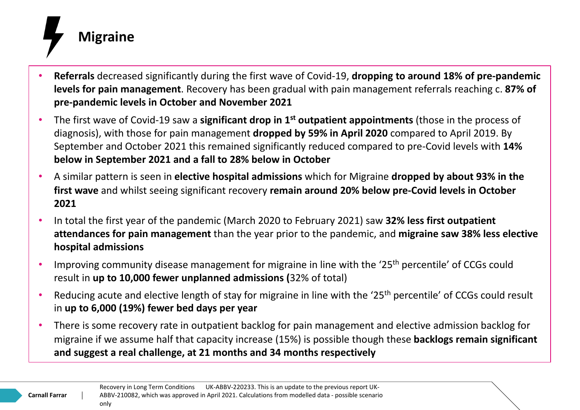

- **Referrals** decreased significantly during the first wave of Covid-19, **dropping to around 18% of pre-pandemic levels for pain management**. Recovery has been gradual with pain management referrals reaching c. **87% of pre-pandemic levels in October and November 2021**
- The first wave of Covid-19 saw a **significant drop in 1st outpatient appointments** (those in the process of diagnosis), with those for pain management **dropped by 59% in April 2020** compared to April 2019. By September and October 2021 this remained significantly reduced compared to pre-Covid levels with **14% below in September 2021 and a fall to 28% below in October**
- A similar pattern is seen in **elective hospital admissions** which for Migraine **dropped by about 93% in the first wave** and whilst seeing significant recovery **remain around 20% below pre-Covid levels in October 2021**
- In total the first year of the pandemic (March 2020 to February 2021) saw **32% less first outpatient attendances for pain management** than the year prior to the pandemic, and **migraine saw 38% less elective hospital admissions**
- Improving community disease management for migraine in line with the '25<sup>th</sup> percentile' of CCGs could result in **up to 10,000 fewer unplanned admissions (**32% of total)
- Reducing acute and elective length of stay for migraine in line with the '25<sup>th</sup> percentile' of CCGs could result in **up to 6,000 (19%) fewer bed days per year**
- There is some recovery rate in outpatient backlog for pain management and elective admission backlog for migraine if we assume half that capacity increase (15%) is possible though these **backlogs remain significant and suggest a real challenge, at 21 months and 34 months respectively**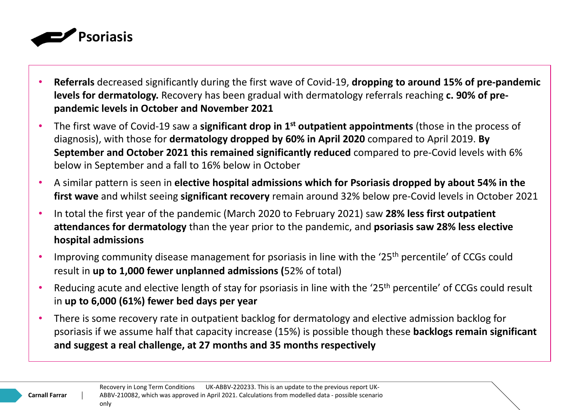

- **Referrals** decreased significantly during the first wave of Covid-19, **dropping to around 15% of pre-pandemic levels for dermatology.** Recovery has been gradual with dermatology referrals reaching **c. 90% of prepandemic levels in October and November 2021**
- The first wave of Covid-19 saw a **significant drop in 1st outpatient appointments** (those in the process of diagnosis), with those for **dermatology dropped by 60% in April 2020** compared to April 2019. **By September and October 2021 this remained significantly reduced** compared to pre-Covid levels with 6% below in September and a fall to 16% below in October
- A similar pattern is seen in **elective hospital admissions which for Psoriasis dropped by about 54% in the first wave** and whilst seeing **significant recovery** remain around 32% below pre-Covid levels in October 2021
- In total the first year of the pandemic (March 2020 to February 2021) saw **28% less first outpatient attendances for dermatology** than the year prior to the pandemic, and **psoriasis saw 28% less elective hospital admissions**
- Improving community disease management for psoriasis in line with the '25<sup>th</sup> percentile' of CCGs could result in **up to 1,000 fewer unplanned admissions (**52% of total)
- Reducing acute and elective length of stay for psoriasis in line with the '25<sup>th</sup> percentile' of CCGs could result in **up to 6,000 (61%) fewer bed days per year**
- There is some recovery rate in outpatient backlog for dermatology and elective admission backlog for psoriasis if we assume half that capacity increase (15%) is possible though these **backlogs remain significant and suggest a real challenge, at 27 months and 35 months respectively**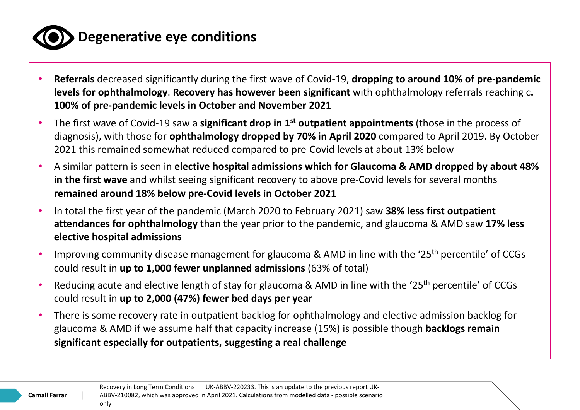

## **Degenerative eye conditions**

- **Referrals** decreased significantly during the first wave of Covid-19, **dropping to around 10% of pre-pandemic levels for ophthalmology**. **Recovery has however been significant** with ophthalmology referrals reaching c**. 100% of pre-pandemic levels in October and November 2021**
- The first wave of Covid-19 saw a **significant drop in 1st outpatient appointments** (those in the process of diagnosis), with those for **ophthalmology dropped by 70% in April 2020** compared to April 2019. By October 2021 this remained somewhat reduced compared to pre-Covid levels at about 13% below
- A similar pattern is seen in **elective hospital admissions which for Glaucoma & AMD dropped by about 48% in the first wave** and whilst seeing significant recovery to above pre-Covid levels for several months **remained around 18% below pre-Covid levels in October 2021**
- In total the first year of the pandemic (March 2020 to February 2021) saw **38% less first outpatient attendances for ophthalmology** than the year prior to the pandemic, and glaucoma & AMD saw **17% less elective hospital admissions**
- Improving community disease management for glaucoma & AMD in line with the '25<sup>th</sup> percentile' of CCGs could result in **up to 1,000 fewer unplanned admissions** (63% of total)
- Reducing acute and elective length of stay for glaucoma & AMD in line with the '25<sup>th</sup> percentile' of CCGs could result in **up to 2,000 (47%) fewer bed days per year**
- There is some recovery rate in outpatient backlog for ophthalmology and elective admission backlog for glaucoma & AMD if we assume half that capacity increase (15%) is possible though **backlogs remain significant especially for outpatients, suggesting a real challenge**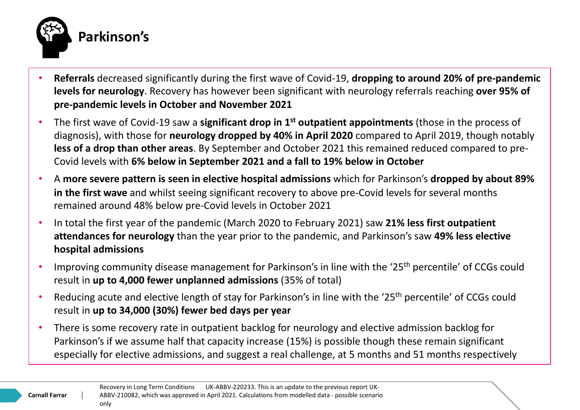

- **Referrals** decreased significantly during the first wave of Covid-19, **dropping to around 20% of pre-pandemic levels for neurology**. Recovery has however been significant with neurology referrals reaching **over 95% of pre-pandemic levels in October and November 2021**
- The first wave of Covid-19 saw a **significant drop in 1st outpatient appointments** (those in the process of diagnosis), with those for **neurology dropped by 40% in April 2020** compared to April 2019, though notably **less of a drop than other areas**. By September and October 2021 this remained reduced compared to pre-Covid levels with **6% below in September 2021 and a fall to 19% below in October**
- A **more severe pattern is seen in elective hospital admissions** which for Parkinson's **dropped by about 89% in the first wave** and whilst seeing significant recovery to above pre-Covid levels for several months remained around 48% below pre-Covid levels in October 2021
- In total the first year of the pandemic (March 2020 to February 2021) saw **21% less first outpatient attendances for neurology** than the year prior to the pandemic, and Parkinson's saw **49% less elective hospital admissions**
- Improving community disease management for Parkinson's in line with the '25<sup>th</sup> percentile' of CCGs could result in **up to 4,000 fewer unplanned admissions** (35% of total)
- Reducing acute and elective length of stay for Parkinson's in line with the '25<sup>th</sup> percentile' of CCGs could result in **up to 34,000 (30%) fewer bed days per year**
- There is some recovery rate in outpatient backlog for neurology and elective admission backlog for Parkinson's if we assume half that capacity increase (15%) is possible though these remain significant especially for elective admissions, and suggest a real challenge, at 5 months and 51 months respectively